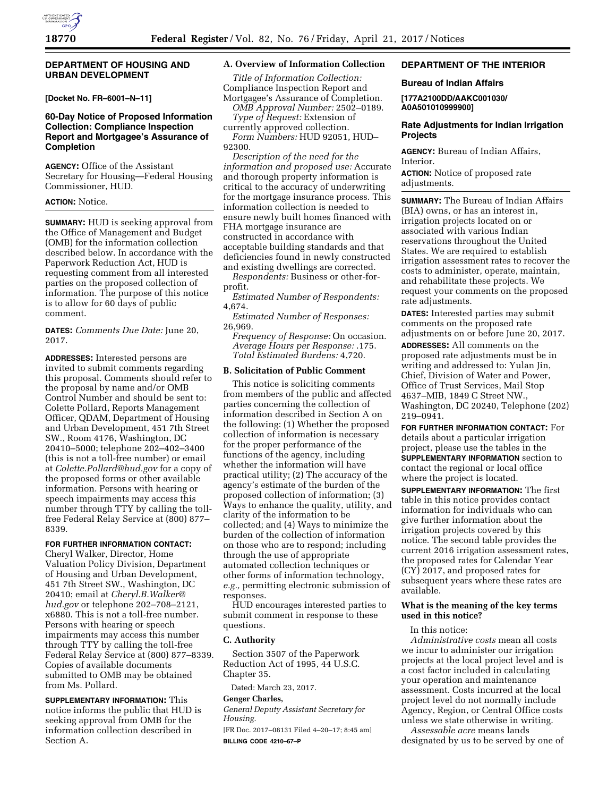#### **DEPARTMENT OF HOUSING AND URBAN DEVELOPMENT**

**[Docket No. FR–6001–N–11]** 

## **60-Day Notice of Proposed Information Collection: Compliance Inspection Report and Mortgagee's Assurance of Completion**

**AGENCY:** Office of the Assistant Secretary for Housing—Federal Housing Commissioner, HUD.

#### **ACTION:** Notice.

**SUMMARY:** HUD is seeking approval from the Office of Management and Budget (OMB) for the information collection described below. In accordance with the Paperwork Reduction Act, HUD is requesting comment from all interested parties on the proposed collection of information. The purpose of this notice is to allow for 60 days of public comment.

**DATES:** *Comments Due Date:* June 20, 2017.

**ADDRESSES:** Interested persons are invited to submit comments regarding this proposal. Comments should refer to the proposal by name and/or OMB Control Number and should be sent to: Colette Pollard, Reports Management Officer, QDAM, Department of Housing and Urban Development, 451 7th Street SW., Room 4176, Washington, DC 20410–5000; telephone 202–402–3400 (this is not a toll-free number) or email at *[Colette.Pollard@hud.gov](mailto:Colette.Pollard@hud.gov)* for a copy of the proposed forms or other available information. Persons with hearing or speech impairments may access this number through TTY by calling the tollfree Federal Relay Service at (800) 877– 8339.

## **FOR FURTHER INFORMATION CONTACT:**

Cheryl Walker, Director, Home Valuation Policy Division, Department of Housing and Urban Development, 451 7th Street SW., Washington, DC 20410; email at *[Cheryl.B.Walker@](mailto:Cheryl.B.Walker@hud.gov) [hud.gov](mailto:Cheryl.B.Walker@hud.gov)* or telephone 202–708–2121, x6880. This is not a toll-free number. Persons with hearing or speech impairments may access this number through TTY by calling the toll-free Federal Relay Service at (800) 877–8339. Copies of available documents submitted to OMB may be obtained from Ms. Pollard.

**SUPPLEMENTARY INFORMATION:** This notice informs the public that HUD is seeking approval from OMB for the information collection described in Section A.

#### **A. Overview of Information Collection**

*Title of Information Collection:*  Compliance Inspection Report and Mortgagee's Assurance of Completion.

*OMB Approval Number:* 2502–0189. *Type of Request:* Extension of currently approved collection.

*Form Numbers:* HUD 92051, HUD– 92300.

*Description of the need for the information and proposed use:* Accurate and thorough property information is critical to the accuracy of underwriting for the mortgage insurance process. This information collection is needed to ensure newly built homes financed with FHA mortgage insurance are constructed in accordance with acceptable building standards and that deficiencies found in newly constructed and existing dwellings are corrected.

*Respondents:* Business or other-forprofit.

*Estimated Number of Respondents:*  4,674.

*Estimated Number of Responses:*  26,969.

*Frequency of Response:* On occasion. *Average Hours per Response:* .175. *Total Estimated Burdens:* 4,720.

## **B. Solicitation of Public Comment**

This notice is soliciting comments from members of the public and affected parties concerning the collection of information described in Section A on the following: (1) Whether the proposed collection of information is necessary for the proper performance of the functions of the agency, including whether the information will have practical utility; (2) The accuracy of the agency's estimate of the burden of the proposed collection of information; (3) Ways to enhance the quality, utility, and clarity of the information to be collected; and (4) Ways to minimize the burden of the collection of information on those who are to respond; including through the use of appropriate automated collection techniques or other forms of information technology, *e.g.,* permitting electronic submission of responses.

HUD encourages interested parties to submit comment in response to these questions.

#### **C. Authority**

Section 3507 of the Paperwork Reduction Act of 1995, 44 U.S.C. Chapter 35.

Dated: March 23, 2017.

### **Genger Charles,**

*General Deputy Assistant Secretary for Housing.* 

[FR Doc. 2017–08131 Filed 4–20–17; 8:45 am] **BILLING CODE 4210–67–P** 

## **DEPARTMENT OF THE INTERIOR**

#### **Bureau of Indian Affairs**

**[177A2100DD/AAKC001030/ A0A501010999900]** 

### **Rate Adjustments for Indian Irrigation Projects**

**AGENCY:** Bureau of Indian Affairs, Interior.

**ACTION:** Notice of proposed rate adjustments.

**SUMMARY:** The Bureau of Indian Affairs (BIA) owns, or has an interest in, irrigation projects located on or associated with various Indian reservations throughout the United States. We are required to establish irrigation assessment rates to recover the costs to administer, operate, maintain, and rehabilitate these projects. We request your comments on the proposed rate adjustments.

**DATES:** Interested parties may submit comments on the proposed rate adjustments on or before June 20, 2017.

**ADDRESSES:** All comments on the proposed rate adjustments must be in writing and addressed to: Yulan Jin, Chief, Division of Water and Power, Office of Trust Services, Mail Stop 4637–MIB, 1849 C Street NW., Washington, DC 20240, Telephone (202) 219–0941.

**FOR FURTHER INFORMATION CONTACT:** For details about a particular irrigation project, please use the tables in the **SUPPLEMENTARY INFORMATION** section to contact the regional or local office where the project is located.

**SUPPLEMENTARY INFORMATION:** The first table in this notice provides contact information for individuals who can give further information about the irrigation projects covered by this notice. The second table provides the current 2016 irrigation assessment rates, the proposed rates for Calendar Year (CY) 2017, and proposed rates for subsequent years where these rates are available.

#### **What is the meaning of the key terms used in this notice?**

In this notice:

*Administrative costs* mean all costs we incur to administer our irrigation projects at the local project level and is a cost factor included in calculating your operation and maintenance assessment. Costs incurred at the local project level do not normally include Agency, Region, or Central Office costs unless we state otherwise in writing.

*Assessable acre* means lands designated by us to be served by one of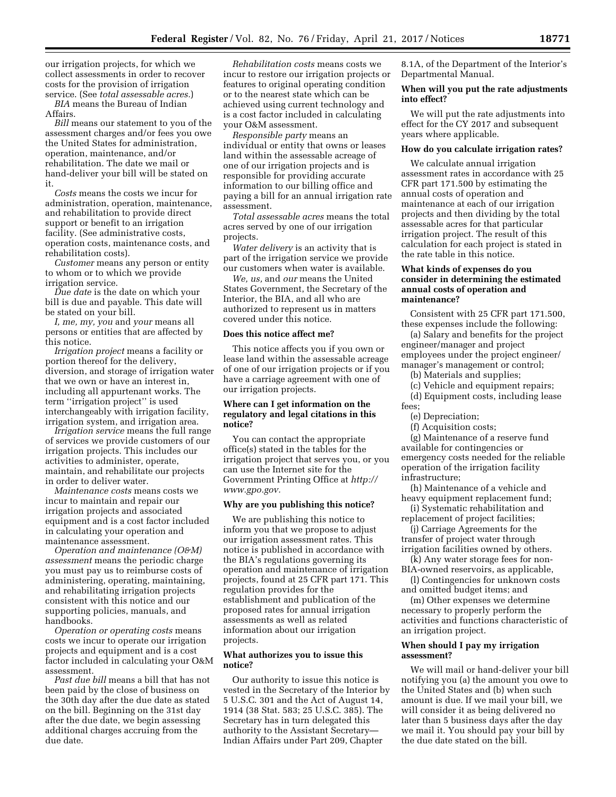our irrigation projects, for which we collect assessments in order to recover costs for the provision of irrigation service. (See *total assessable acres.*)

*BIA* means the Bureau of Indian Affairs.

*Bill* means our statement to you of the assessment charges and/or fees you owe the United States for administration, operation, maintenance, and/or rehabilitation. The date we mail or hand-deliver your bill will be stated on it.

*Costs* means the costs we incur for administration, operation, maintenance, and rehabilitation to provide direct support or benefit to an irrigation facility. (See administrative costs, operation costs, maintenance costs, and rehabilitation costs).

*Customer* means any person or entity to whom or to which we provide irrigation service.

*Due date* is the date on which your bill is due and payable. This date will be stated on your bill.

*I, me, my, you* and *your* means all persons or entities that are affected by this notice.

*Irrigation project* means a facility or portion thereof for the delivery, diversion, and storage of irrigation water that we own or have an interest in, including all appurtenant works. The term ''irrigation project'' is used interchangeably with irrigation facility, irrigation system, and irrigation area.

*Irrigation service* means the full range of services we provide customers of our irrigation projects. This includes our activities to administer, operate, maintain, and rehabilitate our projects in order to deliver water.

*Maintenance costs* means costs we incur to maintain and repair our irrigation projects and associated equipment and is a cost factor included in calculating your operation and maintenance assessment.

*Operation and maintenance (O&M) assessment* means the periodic charge you must pay us to reimburse costs of administering, operating, maintaining, and rehabilitating irrigation projects consistent with this notice and our supporting policies, manuals, and handbooks.

*Operation or operating costs* means costs we incur to operate our irrigation projects and equipment and is a cost factor included in calculating your O&M assessment.

*Past due bill* means a bill that has not been paid by the close of business on the 30th day after the due date as stated on the bill. Beginning on the 31st day after the due date, we begin assessing additional charges accruing from the due date.

*Rehabilitation costs* means costs we incur to restore our irrigation projects or features to original operating condition or to the nearest state which can be achieved using current technology and is a cost factor included in calculating your O&M assessment.

*Responsible party* means an individual or entity that owns or leases land within the assessable acreage of one of our irrigation projects and is responsible for providing accurate information to our billing office and paying a bill for an annual irrigation rate assessment.

*Total assessable acres* means the total acres served by one of our irrigation projects.

*Water delivery* is an activity that is part of the irrigation service we provide our customers when water is available.

*We, us,* and *our* means the United States Government, the Secretary of the Interior, the BIA, and all who are authorized to represent us in matters covered under this notice.

#### **Does this notice affect me?**

This notice affects you if you own or lease land within the assessable acreage of one of our irrigation projects or if you have a carriage agreement with one of our irrigation projects.

### **Where can I get information on the regulatory and legal citations in this notice?**

You can contact the appropriate office(s) stated in the tables for the irrigation project that serves you, or you can use the Internet site for the Government Printing Office at *[http://](http://www.gpo.gov) [www.gpo.gov.](http://www.gpo.gov)* 

#### **Why are you publishing this notice?**

We are publishing this notice to inform you that we propose to adjust our irrigation assessment rates. This notice is published in accordance with the BIA's regulations governing its operation and maintenance of irrigation projects, found at 25 CFR part 171. This regulation provides for the establishment and publication of the proposed rates for annual irrigation assessments as well as related information about our irrigation projects.

#### **What authorizes you to issue this notice?**

Our authority to issue this notice is vested in the Secretary of the Interior by 5 U.S.C. 301 and the Act of August 14, 1914 (38 Stat. 583; 25 U.S.C. 385). The Secretary has in turn delegated this authority to the Assistant Secretary— Indian Affairs under Part 209, Chapter

8.1A, of the Department of the Interior's Departmental Manual.

### **When will you put the rate adjustments into effect?**

We will put the rate adjustments into effect for the CY 2017 and subsequent years where applicable.

# **How do you calculate irrigation rates?**

We calculate annual irrigation assessment rates in accordance with 25 CFR part 171.500 by estimating the annual costs of operation and maintenance at each of our irrigation projects and then dividing by the total assessable acres for that particular irrigation project. The result of this calculation for each project is stated in the rate table in this notice.

#### **What kinds of expenses do you consider in determining the estimated annual costs of operation and maintenance?**

Consistent with 25 CFR part 171.500, these expenses include the following:

(a) Salary and benefits for the project engineer/manager and project employees under the project engineer/ manager's management or control;

(b) Materials and supplies;

(c) Vehicle and equipment repairs;

(d) Equipment costs, including lease fees;

(e) Depreciation;

(f) Acquisition costs;

(g) Maintenance of a reserve fund available for contingencies or emergency costs needed for the reliable operation of the irrigation facility infrastructure;

(h) Maintenance of a vehicle and heavy equipment replacement fund;

(i) Systematic rehabilitation and replacement of project facilities;

(j) Carriage Agreements for the transfer of project water through irrigation facilities owned by others.

(k) Any water storage fees for non-BIA-owned reservoirs, as applicable,

(l) Contingencies for unknown costs and omitted budget items; and

(m) Other expenses we determine necessary to properly perform the activities and functions characteristic of an irrigation project.

#### **When should I pay my irrigation assessment?**

We will mail or hand-deliver your bill notifying you (a) the amount you owe to the United States and (b) when such amount is due. If we mail your bill, we will consider it as being delivered no later than 5 business days after the day we mail it. You should pay your bill by the due date stated on the bill.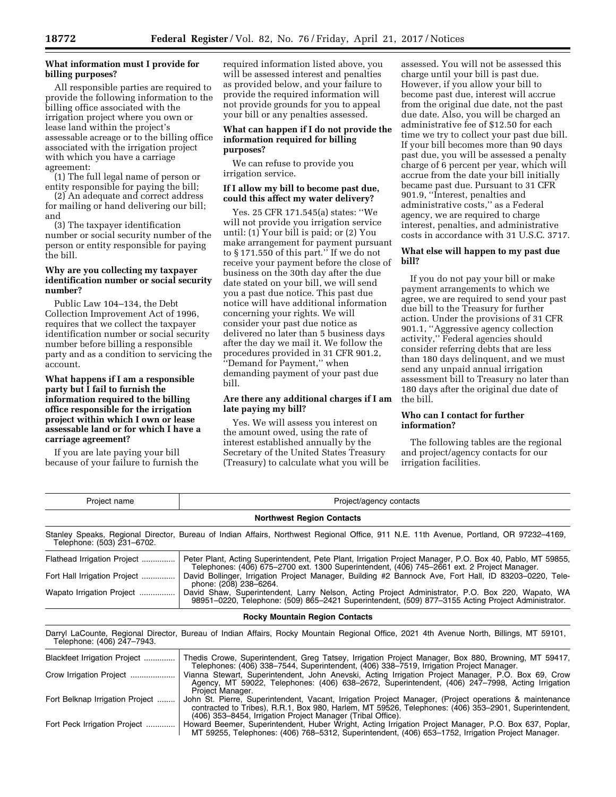## **What information must I provide for billing purposes?**

All responsible parties are required to provide the following information to the billing office associated with the irrigation project where you own or lease land within the project's assessable acreage or to the billing office associated with the irrigation project with which you have a carriage agreement:

(1) The full legal name of person or entity responsible for paying the bill;

(2) An adequate and correct address for mailing or hand delivering our bill; and

(3) The taxpayer identification number or social security number of the person or entity responsible for paying the bill.

### **Why are you collecting my taxpayer identification number or social security number?**

Public Law 104–134, the Debt Collection Improvement Act of 1996, requires that we collect the taxpayer identification number or social security number before billing a responsible party and as a condition to servicing the account.

**What happens if I am a responsible party but I fail to furnish the information required to the billing office responsible for the irrigation project within which I own or lease assessable land or for which I have a carriage agreement?** 

If you are late paying your bill because of your failure to furnish the required information listed above, you will be assessed interest and penalties as provided below, and your failure to provide the required information will not provide grounds for you to appeal your bill or any penalties assessed.

## **What can happen if I do not provide the information required for billing purposes?**

We can refuse to provide you irrigation service.

#### **If I allow my bill to become past due, could this affect my water delivery?**

Yes. 25 CFR 171.545(a) states: ''We will not provide you irrigation service until: (1) Your bill is paid; or (2) You make arrangement for payment pursuant to § 171.550 of this part.'' If we do not receive your payment before the close of business on the 30th day after the due date stated on your bill, we will send you a past due notice. This past due notice will have additional information concerning your rights. We will consider your past due notice as delivered no later than 5 business days after the day we mail it. We follow the procedures provided in 31 CFR 901.2, ''Demand for Payment,'' when demanding payment of your past due bill.

## **Are there any additional charges if I am late paying my bill?**

Yes. We will assess you interest on the amount owed, using the rate of interest established annually by the Secretary of the United States Treasury (Treasury) to calculate what you will be

assessed. You will not be assessed this charge until your bill is past due. However, if you allow your bill to become past due, interest will accrue from the original due date, not the past due date. Also, you will be charged an administrative fee of \$12.50 for each time we try to collect your past due bill. If your bill becomes more than 90 days past due, you will be assessed a penalty charge of 6 percent per year, which will accrue from the date your bill initially became past due. Pursuant to 31 CFR 901.9, ''Interest, penalties and administrative costs,'' as a Federal agency, we are required to charge interest, penalties, and administrative costs in accordance with 31 U.S.C. 3717.

### **What else will happen to my past due bill?**

If you do not pay your bill or make payment arrangements to which we agree, we are required to send your past due bill to the Treasury for further action. Under the provisions of 31 CFR 901.1, ''Aggressive agency collection activity,'' Federal agencies should consider referring debts that are less than 180 days delinquent, and we must send any unpaid annual irrigation assessment bill to Treasury no later than 180 days after the original due date of the bill.

# **Who can I contact for further information?**

The following tables are the regional and project/agency contacts for our irrigation facilities.

| Project name                     | Project/agency contacts                                                                                                                                                                                                                                                       |  |  |
|----------------------------------|-------------------------------------------------------------------------------------------------------------------------------------------------------------------------------------------------------------------------------------------------------------------------------|--|--|
| <b>Northwest Region Contacts</b> |                                                                                                                                                                                                                                                                               |  |  |
| Telephone: (503) 231-6702.       | Stanley Speaks, Regional Director, Bureau of Indian Affairs, Northwest Regional Office, 911 N.E. 11th Avenue, Portland, OR 97232-4169,                                                                                                                                        |  |  |
| Flathead Irrigation Project      | Peter Plant, Acting Superintendent, Pete Plant, Irrigation Project Manager, P.O. Box 40, Pablo, MT 59855,<br>Telephones: (406) 675–2700 ext. 1300 Superintendent, (406) 745–2661 ext. 2 Project Manager.                                                                      |  |  |
| Fort Hall Irrigation Project     | David Bollinger, Irrigation Project Manager, Building #2 Bannock Ave, Fort Hall, ID 83203-0220, Tele-<br>phone: (208) 238-6264.                                                                                                                                               |  |  |
| Wapato Irrigation Project        | David Shaw, Superintendent, Larry Nelson, Acting Project Administrator, P.O. Box 220, Wapato, WA<br>98951-0220, Telephone: (509) 865-2421 Superintendent, (509) 877-3155 Acting Project Administrator.                                                                        |  |  |
|                                  | <b>Rocky Mountain Region Contacts</b>                                                                                                                                                                                                                                         |  |  |
| Telephone: (406) 247-7943.       | Darryl LaCounte, Regional Director, Bureau of Indian Affairs, Rocky Mountain Regional Office, 2021 4th Avenue North, Billings, MT 59101,                                                                                                                                      |  |  |
| Blackfeet Irrigation Project     | Thedis Crowe, Superintendent, Greg Tatsey, Irrigation Project Manager, Box 880, Browning, MT 59417,<br>Telephones: (406) 338–7544, Superintendent, (406) 338–7519, Irrigation Project Manager.                                                                                |  |  |
| Crow Irrigation Project          | Vianna Stewart, Superintendent, John Anevski, Acting Irrigation Project Manager, P.O. Box 69, Crow<br>Agency, MT 59022, Telephones: (406) 638–2672, Superintendent, (406) 247–7998, Acting Irrigation<br>Project Manager.                                                     |  |  |
| Fort Belknap Irrigation Project  | John St. Pierre, Superintendent, Vacant, Irrigation Project Manager, (Project operations & maintenance<br>contracted to Tribes), R.R.1, Box 980, Harlem, MT 59526, Telephones: (406) 353–2901, Superintendent,<br>(406) 353–8454, Irrigation Project Manager (Tribal Office). |  |  |
| Fort Peck Irrigation Project     | Howard Beemer, Superintendent, Huber Wright, Acting Irrigation Project Manager, P.O. Box 637, Poplar,<br>MT 59255, Telephones: (406) 768–5312, Superintendent, (406) 653–1752, Irrigation Project Manager.                                                                    |  |  |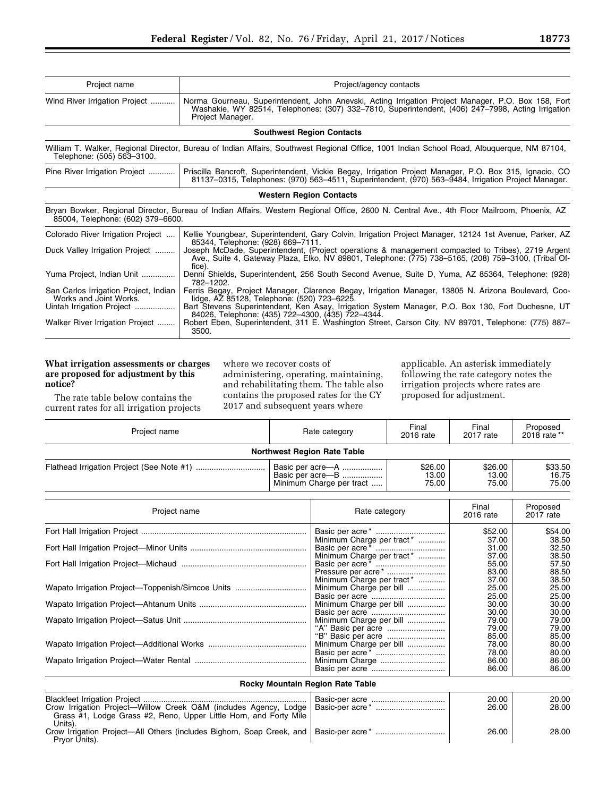| Project name                                                        | Project/agency contacts                                                                                                                                                                                                                           |  |  |  |
|---------------------------------------------------------------------|---------------------------------------------------------------------------------------------------------------------------------------------------------------------------------------------------------------------------------------------------|--|--|--|
| Wind River Irrigation Project                                       | Norma Gourneau, Superintendent, John Anevski, Acting Irrigation Project Manager, P.O. Box 158, Fort<br>Washakie, WY 82514, Telephones: (307) 332-7810, Superintendent, (406) 247-7998, Acting Irrigation<br>Project Manager.                      |  |  |  |
|                                                                     | <b>Southwest Region Contacts</b>                                                                                                                                                                                                                  |  |  |  |
| Telephone: (505) 563-3100.                                          | William T. Walker, Regional Director, Bureau of Indian Affairs, Southwest Regional Office, 1001 Indian School Road, Albuquerque, NM 87104,                                                                                                        |  |  |  |
| Pine River Irrigation Project                                       | Priscilla Bancroft, Superintendent, Vickie Begay, Irrigation Project Manager, P.O. Box 315, Ignacio, CO<br>81137-0315, Telephones: (970) 563-4511, Superintendent, (970) 563-9484, Irrigation Project Manager.                                    |  |  |  |
|                                                                     | <b>Western Region Contacts</b>                                                                                                                                                                                                                    |  |  |  |
| 85004, Telephone: (602) 379-6600.                                   | Bryan Bowker, Regional Director, Bureau of Indian Affairs, Western Regional Office, 2600 N. Central Ave., 4th Floor Mailroom, Phoenix, AZ                                                                                                         |  |  |  |
| Colorado River Irrigation Project<br>Duck Valley Irrigation Project | Kellie Youngbear, Superintendent, Gary Colvin, Irrigation Project Manager, 12124 1st Avenue, Parker, AZ<br>85344, Telephone: (928) 669-7111.<br>Joseph McDade, Superintendent, (Project operations & management compacted to Tribes), 2719 Argent |  |  |  |
|                                                                     | Ave., Suite 4, Gateway Plaza, Elko, NV 89801, Telephone: (775) 738–5165, (208) 759–3100, (Tribal Of-<br>fice).                                                                                                                                    |  |  |  |
| Yuma Project, Indian Unit                                           | Denni Shields, Superintendent, 256 South Second Avenue, Suite D, Yuma, AZ 85364, Telephone: (928)<br>782-1202.                                                                                                                                    |  |  |  |
| San Carlos Irrigation Project, Indian<br>Works and Joint Works.     | Ferris Begay, Project Manager, Clarence Begay, Irrigation Manager, 13805 N. Arizona Boulevard, Coo-<br>lidge, AZ 85128, Telephone: (520) 723-6225.                                                                                                |  |  |  |
| Uintah Irrigation Project                                           | Bart Stevens Superintendent, Ken Asay, Irrigation System Manager, P.O. Box 130, Fort Duchesne, UT                                                                                                                                                 |  |  |  |
| Walker River Irrigation Project                                     | 84026, Telephone: (435) 722-4300, (435) 722-4344.<br>Robert Eben, Superintendent, 311 E. Washington Street, Carson City, NV 89701, Telephone: (775) 887–<br>3500.                                                                                 |  |  |  |

## **What irrigation assessments or charges are proposed for adjustment by this notice?**

The rate table below contains the current rates for all irrigation projects where we recover costs of administering, operating, maintaining, and rehabilitating them. The table also contains the proposed rates for the CY 2017 and subsequent years where

applicable. An asterisk immediately following the rate category notes the irrigation projects where rates are proposed for adjustment.

| Project name                                                                                                                                     |  | Rate category                                                                                 | Final<br>2016 rate | Final<br>2017 rate        | Proposed<br>2018 rate **  |
|--------------------------------------------------------------------------------------------------------------------------------------------------|--|-----------------------------------------------------------------------------------------------|--------------------|---------------------------|---------------------------|
|                                                                                                                                                  |  | <b>Northwest Region Rate Table</b>                                                            |                    |                           |                           |
|                                                                                                                                                  |  | \$26.00<br>Basic per acre–A<br>13.00<br>Basic per acre-B<br>Minimum Charge per tract<br>75.00 |                    | \$26.00<br>13.00<br>75.00 | \$33.50<br>16.75<br>75.00 |
| Project name                                                                                                                                     |  | Rate category                                                                                 |                    | Final<br>2016 rate        | Proposed<br>2017 rate     |
|                                                                                                                                                  |  |                                                                                               |                    | \$52.00                   | \$54.00                   |
|                                                                                                                                                  |  | Minimum Charge per tract*<br>Minimum Charge per tract*                                        |                    | 37.00<br>31.00<br>37.00   | 38.50<br>32.50<br>38.50   |
|                                                                                                                                                  |  | Pressure per acre*                                                                            |                    | 55.00<br>83.00            | 57.50<br>88.50            |
| Wapato Irrigation Project—Toppenish/Simcoe Units                                                                                                 |  | Minimum Charge per tract*<br>Minimum Charge per bill                                          |                    | 37.00<br>25.00<br>25.00   | 38.50<br>25.00<br>25.00   |
|                                                                                                                                                  |  | Minimum Charge per bill                                                                       |                    | 30.00                     | 30.00                     |
|                                                                                                                                                  |  | Minimum Charge per bill                                                                       |                    | 30.00<br>79.00<br>79.00   | 30.00<br>79.00<br>79.00   |
|                                                                                                                                                  |  | "B" Basic per acre<br>Minimum Charge per bill                                                 |                    | 85.00<br>78.00<br>78.00   | 85.00<br>80.00<br>80.00   |
|                                                                                                                                                  |  | Minimum Charge                                                                                |                    | 86.00<br>86.00            | 86.00<br>86.00            |
|                                                                                                                                                  |  | Rocky Mountain Region Rate Table                                                              |                    |                           |                           |
| Crow Irrigation Project—Willow Creek O&M (includes Agency, Lodge<br>Grass #1, Lodge Grass #2, Reno, Upper Little Horn, and Forty Mile<br>Units). |  |                                                                                               |                    | 20.00<br>26.00            | 20.00<br>28.00            |
| Crow Irrigation Project—All Others (includes Bigborn, Soan Creek, and   Basic-per acre*                                                          |  |                                                                                               | 26.00              | 28.00                     |                           |

Crow Irrigation Project—All Others (includes Bighorn, Soap Creek, and Basic-per acre \* ............................... 26.00 28.00 Pryor Units).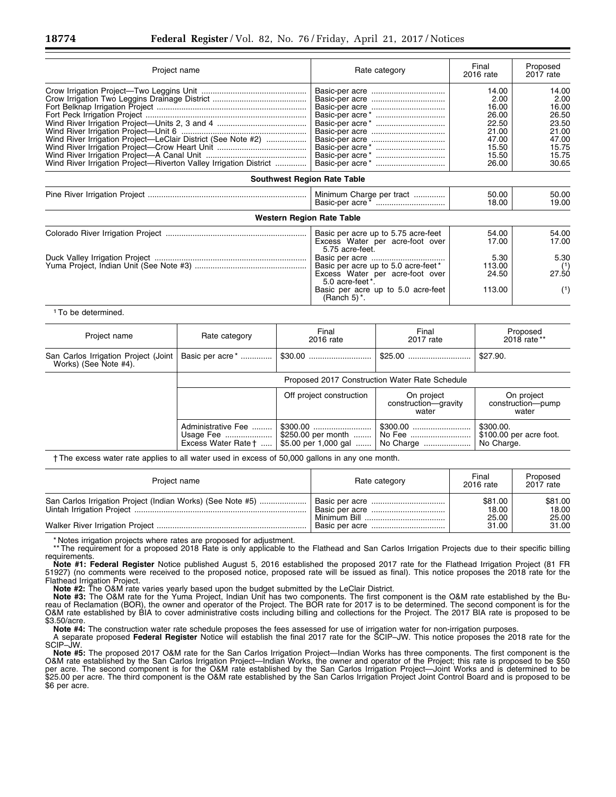| Project name                                                                                                                      | Rate category                                                                                                                                                                                                                                    | Final<br>2016 rate                                                                    | Proposed<br>2017 rate                                                                 |
|-----------------------------------------------------------------------------------------------------------------------------------|--------------------------------------------------------------------------------------------------------------------------------------------------------------------------------------------------------------------------------------------------|---------------------------------------------------------------------------------------|---------------------------------------------------------------------------------------|
| Wind River Irrigation Project-LeClair District (See Note #2)<br>Wind River Irrigation Project—Riverton Valley Irrigation District |                                                                                                                                                                                                                                                  | 14.00<br>2.00<br>16.00<br>26.00<br>22.50<br>21.00<br>47.00<br>15.50<br>15.50<br>26.00 | 14.00<br>2.00<br>16.00<br>26.50<br>23.50<br>21.00<br>47.00<br>15.75<br>15.75<br>30.65 |
| <b>Southwest Region Rate Table</b>                                                                                                |                                                                                                                                                                                                                                                  |                                                                                       |                                                                                       |
|                                                                                                                                   | Minimum Charge per tract                                                                                                                                                                                                                         | 50.00<br>18.00                                                                        | 50.00<br>19.00                                                                        |
| <b>Western Region Rate Table</b>                                                                                                  |                                                                                                                                                                                                                                                  |                                                                                       |                                                                                       |
|                                                                                                                                   | Basic per acre up to 5.75 acre-feet<br>Excess Water per acre-foot over<br>5.75 acre-feet.<br>Basic per acre up to 5.0 acre-feet*<br>Excess Water per acre-foot over<br>5.0 acre-feet*.<br>Basic per acre up to 5.0 acre-feet<br>(Ranch 5) $^*$ . | 54.00<br>17.00<br>5.30<br>113.00<br>24.50<br>113.00                                   | 54.00<br>17.00<br>5.30<br>(1)<br>27.50<br>(1)                                         |

1To be determined.

| Project name                                                  | Rate category                                               | Final<br>2016 rate                         | Final<br>2017 rate                          | Proposed<br>2018 rate **                           |  |
|---------------------------------------------------------------|-------------------------------------------------------------|--------------------------------------------|---------------------------------------------|----------------------------------------------------|--|
| San Carlos Irrigation Project (Joint<br>Works) (See Note #4). | Basic per acre <sup>*</sup>                                 |                                            |                                             | \$27.90.                                           |  |
|                                                               | Proposed 2017 Construction Water Rate Schedule              |                                            |                                             |                                                    |  |
|                                                               |                                                             | Off project construction                   | On project<br>construction-qravity<br>water | On project<br>construction--pump<br>water          |  |
|                                                               | Administrative Fee   <br>Usage Fee  <br>Excess Water Rate † | \$250.00 per month<br>\$5.00 per 1,000 gal | No Fee<br>No Charge                         | \$300.00.<br>\$100.00 per acre foot.<br>No Charge. |  |

† The excess water rate applies to all water used in excess of 50,000 gallons in any one month.

| Project name                                               | Rate category | Final<br>2016 rate        | Proposed<br>2017 rate     |
|------------------------------------------------------------|---------------|---------------------------|---------------------------|
| San Carlos Irrigation Project (Indian Works) (See Note #5) |               | \$81.00<br>18.00<br>25.00 | \$81.00<br>18.00<br>25.00 |
|                                                            |               | 31.00                     | 31.00                     |

\* Notes irrigation projects where rates are proposed for adjustment.

\*\* The requirement for a proposed 2018 Rate is only applicable to the Flathead and San Carlos Irrigation Projects due to their specific billing requirements.

**Note #1: Federal Register** Notice published August 5, 2016 established the proposed 2017 rate for the Flathead Irrigation Project (81 FR 51927) (no comments were received to the proposed notice, proposed rate will be issued as final). This notice proposes the 2018 rate for the Flathead Irrigation Project.

**Note #2:** The O&M rate varies yearly based upon the budget submitted by the LeClair District.

**Note #3:** The O&M rate for the Yuma Project, Indian Unit has two components. The first component is the O&M rate established by the Bureau of Reclamation (BOR), the owner and operator of the Project. The BOR rate for 2017 is to be determined. The second component is for the O&M rate established by BIA to cover administrative costs including billing and collections for the Project. The 2017 BIA rate is proposed to be \$3.50/acre.

**Note #4:** The construction water rate schedule proposes the fees assessed for use of irrigation water for non-irrigation purposes. A separate proposed **Federal Register** Notice will establish the final 2017 rate for the SCIP–JW. This notice proposes the 2018 rate for the SCIP–JW.

**Note #5:** The proposed 2017 O&M rate for the San Carlos Irrigation Project—Indian Works has three components. The first component is the O&M rate established by the San Carlos Irrigation Project—Indian Works, the owner and operator of the Project; this rate is proposed to be \$50 per acre. The second component is for the O&M rate established by the San Carlos Irrigation Project—Joint Works and is determined to be \$25.00 per acre. The third component is the O&M rate established by the San Carlos Irrigation Project Joint Control Board and is proposed to be \$6 per acre.